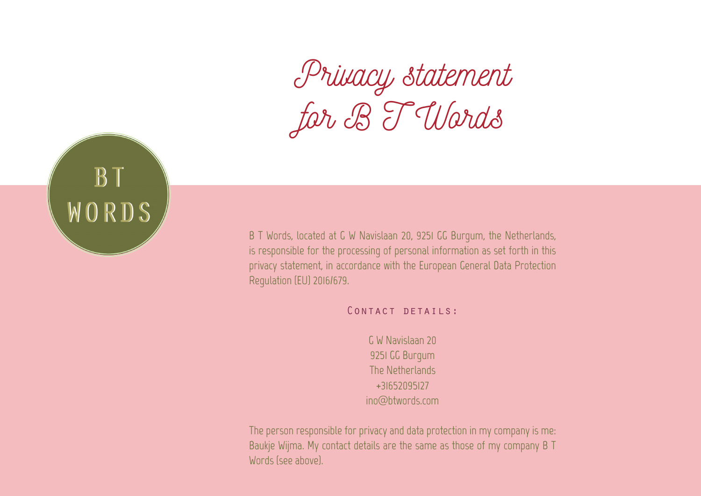*Privacy statement for B T Words*



B T Words, located at G W Navislaan 20, 9251 GG Burgum, the Netherlands, is responsible for the processing of personal information as set forth in this privacy statement, in accordance with the European General Data Protection Regulation (EU) 2016/679.

CONTACT DETAILS:

G W Navislaan 20 9251 GG Burgum The Netherlands +31652095127 ino@btwords.com

The person responsible for privacy and data protection in my company is me: Baukje Wijma. My contact details are the same as those of my company B T Words (see above).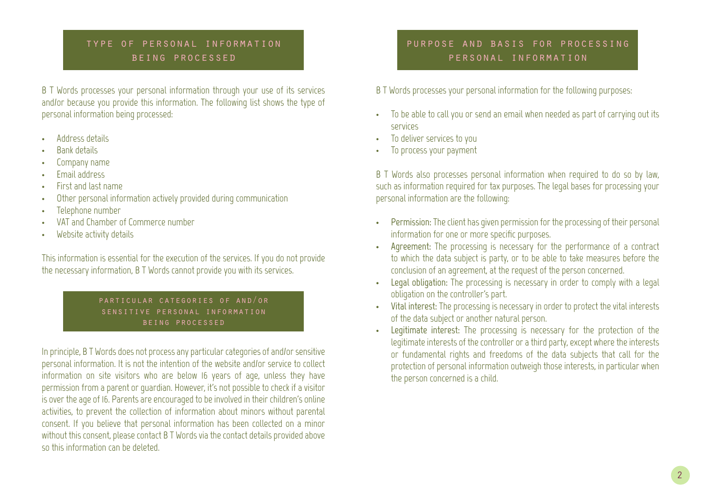## type of personal information being processed

B T Words processes your personal information through your use of its services and/or because you provide this information. The following list shows the type of personal information being processed:

- Address details
- **Bank details**
- Company name
- **Fmail address**
- First and last name
- Other personal information actively provided during communication
- Telephone number
- VAT and Chamber of Commerce number
- Website activity details

This information is essential for the execution of the services. If you do not provide the necessary information, B T Words cannot provide you with its services.

> particular categories of and/or sensitive personal information being processed

In principle, B T Words does not process any particular categories of and/or sensitive personal information. It is not the intention of the website and/or service to collect information on site visitors who are below 16 years of age, unless they have permission from a parent or guardian. However, it's not possible to check if a visitor is over the age of 16. Parents are encouraged to be involved in their children's online activities, to prevent the collection of information about minors without parental consent. If you believe that personal information has been collected on a minor without this consent, please contact B T Words via the contact details provided above so this information can be deleted.

# purpose and basis for processing personal information

B T Words processes your personal information for the following purposes:

- To be able to call you or send an email when needed as part of carrying out its services
- To deliver services to you
- To process your payment

B T Words also processes personal information when required to do so by law, such as information required for tax purposes. The legal bases for processing your personal information are the following:

- **• Permission:** The client has given permission for the processing of their personal information for one or more specific purposes.
- **• Agreement:** The processing is necessary for the performance of a contract to which the data subject is party, or to be able to take measures before the conclusion of an agreement, at the request of the person concerned.
- Legal obligation: The processing is necessary in order to comply with a legal obligation on the controller's part.
- **• Vital interest:** The processing is necessary in order to protect the vital interests of the data subject or another natural person.
- **Legitimate** interest: The processing is necessary for the protection of the legitimate interests of the controller or a third party, except where the interests or fundamental rights and freedoms of the data subjects that call for the protection of personal information outweigh those interests, in particular when the person concerned is a child.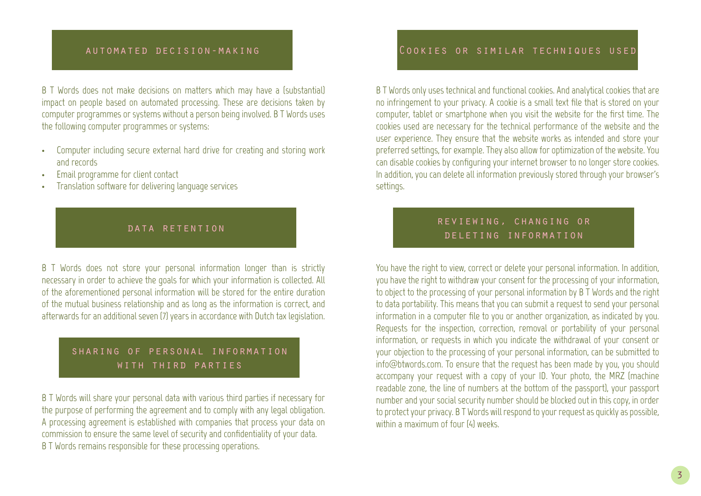#### automated decision-making

B T Words does not make decisions on matters which may have a (substantial) impact on people based on automated processing. These are decisions taken by computer programmes or systems without a person being involved. B T Words uses the following computer programmes or systems:

- Computer including secure external hard drive for creating and storing work and records
- Email programme for client contact
- Translation software for delivering language services

#### data retention

B T Words does not store your personal information longer than is strictly necessary in order to achieve the goals for which your information is collected. All of the aforementioned personal information will be stored for the entire duration of the mutual business relationship and as long as the information is correct, and afterwards for an additional seven (7) years in accordance with Dutch tax legislation.

## sharing of personal information with third parties

B T Words will share your personal data with various third parties if necessary for the purpose of performing the agreement and to comply with any legal obligation. A processing agreement is established with companies that process your data on commission to ensure the same level of security and confidentiality of your data. B T Words remains responsible for these processing operations.

### Cookies or similar techniques used

B T Words only uses technical and functional cookies. And analytical cookies that are no infringement to your privacy. A cookie is a small text file that is stored on your computer, tablet or smartphone when you visit the website for the first time. The cookies used are necessary for the technical performance of the website and the user experience. They ensure that the website works as intended and store your preferred settings, for example. They also allow for optimization of the website. You can disable cookies by configuring your internet browser to no longer store cookies. In addition, you can delete all information previously stored through your browser's settings.

## reviewing, changing or deleting information

You have the right to view, correct or delete your personal information. In addition, you have the right to withdraw your consent for the processing of your information, to object to the processing of your personal information by B T Words and the right to data portability. This means that you can submit a request to send your personal information in a computer file to you or another organization, as indicated by you. Requests for the inspection, correction, removal or portability of your personal information, or requests in which you indicate the withdrawal of your consent or your objection to the processing of your personal information, can be submitted to info@btwords.com. To ensure that the request has been made by you, you should accompany your request with a copy of your ID. Your photo, the MRZ (machine readable zone, the line of numbers at the bottom of the passport), your passport number and your social security number should be blocked out in this copy, in order to protect your privacy. B T Words will respond to your request as quickly as possible, within a maximum of four (4) weeks.